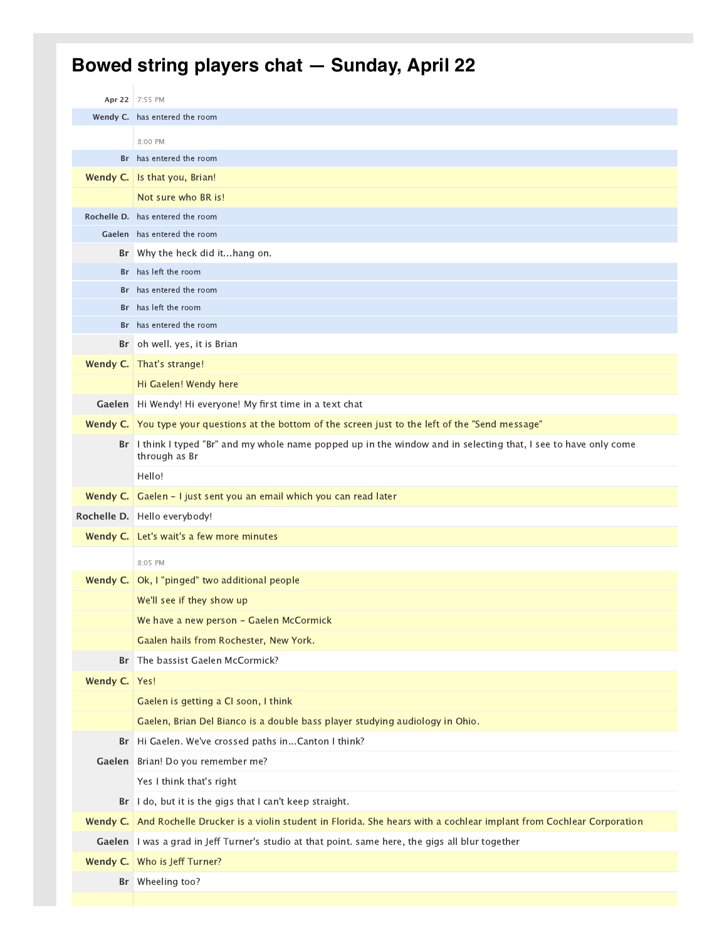## **Bowed string players chat — Sunday, April 22**

|           | Apr 22 7:55 PM                                                                                                                 |
|-----------|--------------------------------------------------------------------------------------------------------------------------------|
|           | Wendy C. has entered the room                                                                                                  |
|           | 8:00 PM                                                                                                                        |
| <b>Br</b> | has entered the room                                                                                                           |
|           | Wendy C.   Is that you, Brian!                                                                                                 |
|           | Not sure who BR is!                                                                                                            |
|           | Rochelle D. has entered the room                                                                                               |
|           | Gaelen has entered the room                                                                                                    |
| Br        | Why the heck did ithang on.                                                                                                    |
| Br        | has left the room                                                                                                              |
| Br        | has entered the room                                                                                                           |
| Br        | has left the room                                                                                                              |
| Br        | has entered the room                                                                                                           |
| Br        | oh well. yes, it is Brian                                                                                                      |
| Wendy C.  | That's strange!                                                                                                                |
|           | Hi Gaelen! Wendy here                                                                                                          |
| Gaelen    | Hi Wendy! Hi everyone! My first time in a text chat                                                                            |
|           | Wendy C. You type your questions at the bottom of the screen just to the left of the "Send message"                            |
| Br        | I think I typed "Br" and my whole name popped up in the window and in selecting that, I see to have only come<br>through as Br |
|           | Hello!                                                                                                                         |
| Wendy C.  | Gaelen - I just sent you an email which you can read later                                                                     |
|           | Rochelle D. Hello everybody!                                                                                                   |
| Wendy C.  | Let's wait's a few more minutes                                                                                                |
|           | 8:05 PM                                                                                                                        |
| Wendy C.  | Ok, I "pinged" two additional people                                                                                           |
|           | We'll see if they show up                                                                                                      |
|           | We have a new person - Gaelen McCormick                                                                                        |
|           | Gaalen hails from Rochester, New York.                                                                                         |
| Br        | The bassist Gaelen McCormick?                                                                                                  |
| Wendy C.  | Yes!                                                                                                                           |
|           |                                                                                                                                |
|           | Gaelen is getting a CI soon, I think                                                                                           |
|           | Gaelen, Brian Del Bianco is a double bass player studying audiology in Ohio.                                                   |
| Br        | Hi Gaelen. We've crossed paths inCanton I think?                                                                               |
| Gaelen    | Brian! Do you remember me?                                                                                                     |
|           | Yes I think that's right                                                                                                       |
| Br        | I do, but it is the gigs that I can't keep straight.                                                                           |
| Wendy C.  | And Rochelle Drucker is a violin student in Florida. She hears with a cochlear implant from Cochlear Corporation               |
| Gaelen    | I was a grad in Jeff Turner's studio at that point. same here, the gigs all blur together                                      |
| Wendy C.  | Who is Jeff Turner?                                                                                                            |
| Br        | Wheeling too?                                                                                                                  |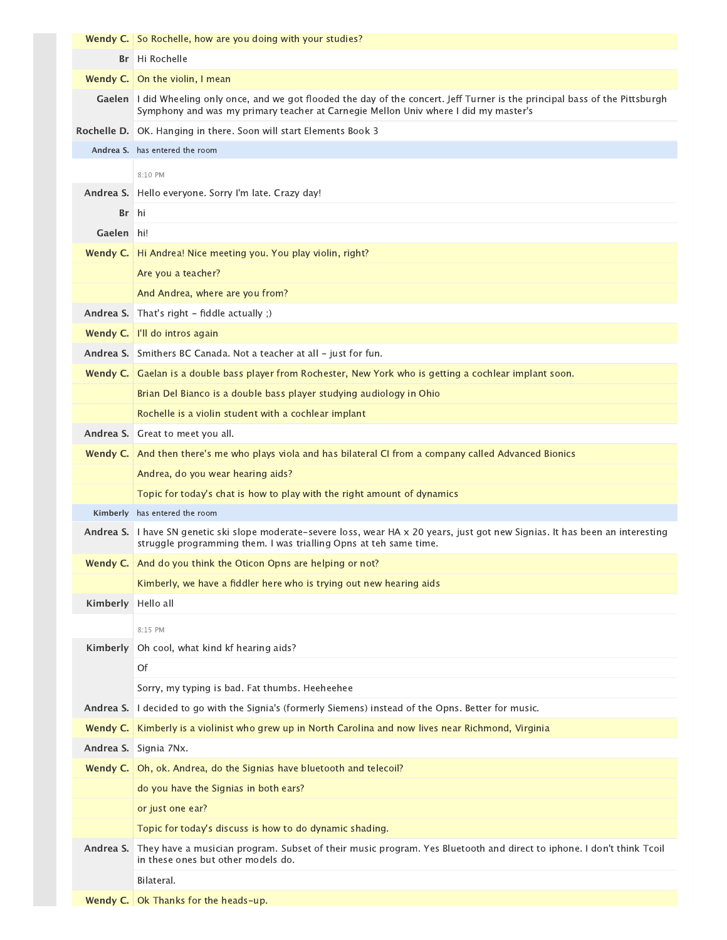|            | <b>Wendy C.</b> So Rochelle, how are you doing with your studies?                                                                                                                                                        |
|------------|--------------------------------------------------------------------------------------------------------------------------------------------------------------------------------------------------------------------------|
|            | Br   Hi Rochelle                                                                                                                                                                                                         |
|            | <b>Wendy C.</b> On the violin, I mean                                                                                                                                                                                    |
|            | Gaelen   I did Wheeling only once, and we got flooded the day of the concert. Jeff Turner is the principal bass of the Pittsburgh<br>Symphony and was my primary teacher at Carnegie Mellon Univ where I did my master's |
|            | Rochelle D.   OK. Hanging in there. Soon will start Elements Book 3                                                                                                                                                      |
|            | Andrea S. has entered the room                                                                                                                                                                                           |
|            | 8:10 PM                                                                                                                                                                                                                  |
| Andrea S.  | Hello everyone. Sorry I'm late. Crazy day!                                                                                                                                                                               |
| Br         | hi                                                                                                                                                                                                                       |
| Gaelen hi! |                                                                                                                                                                                                                          |
| Wendy $C.$ | Hi Andrea! Nice meeting you. You play violin, right?                                                                                                                                                                     |
|            | Are you a teacher?                                                                                                                                                                                                       |
|            | And Andrea, where are you from?                                                                                                                                                                                          |
| Andrea S.  | That's right - fiddle actually ;)                                                                                                                                                                                        |
| Wendy C.   | I'll do intros again                                                                                                                                                                                                     |
|            | Andrea S. Smithers BC Canada. Not a teacher at all - just for fun.                                                                                                                                                       |
| Wendy C.   | Gaelan is a double bass player from Rochester, New York who is getting a cochlear implant soon.                                                                                                                          |
|            | Brian Del Bianco is a double bass player studying audiology in Ohio                                                                                                                                                      |
|            | Rochelle is a violin student with a cochlear implant                                                                                                                                                                     |
| Andrea S.  | Great to meet you all.                                                                                                                                                                                                   |
| Wendy C.   | And then there's me who plays viola and has bilateral CI from a company called Advanced Bionics                                                                                                                          |
|            | Andrea, do you wear hearing aids?                                                                                                                                                                                        |
|            | Topic for today's chat is how to play with the right amount of dynamics                                                                                                                                                  |
|            | Kimberly has entered the room                                                                                                                                                                                            |
|            | Andrea S.   I have SN genetic ski slope moderate-severe loss, wear HA x 20 years, just got new Signias. It has been an interesting<br>struggle programming them. I was trialling Opns at teh same time.                  |
|            | <b>Wendy C.</b> And do you think the Oticon Opns are helping or not?                                                                                                                                                     |
|            | Kimberly, we have a fiddler here who is trying out new hearing aids                                                                                                                                                      |
| Kimberly   | Hello all                                                                                                                                                                                                                |
|            | 8:15 PM                                                                                                                                                                                                                  |
| Kimberly   | Oh cool, what kind kf hearing aids?                                                                                                                                                                                      |
|            | Of                                                                                                                                                                                                                       |
|            | Sorry, my typing is bad. Fat thumbs. Heeheehee                                                                                                                                                                           |
| Andrea S.  | I decided to go with the Signia's (formerly Siemens) instead of the Opns. Better for music.                                                                                                                              |
| Wendy C.   | Kimberly is a violinist who grew up in North Carolina and now lives near Richmond, Virginia                                                                                                                              |
| Andrea S.  | Signia 7Nx.                                                                                                                                                                                                              |
| Wendy C.   | Oh, ok. Andrea, do the Signias have bluetooth and telecoil?                                                                                                                                                              |
|            | do you have the Signias in both ears?                                                                                                                                                                                    |
|            | or just one ear?                                                                                                                                                                                                         |
|            | Topic for today's discuss is how to do dynamic shading.                                                                                                                                                                  |
| Andrea S.  | They have a musician program. Subset of their music program. Yes Bluetooth and direct to iphone. I don't think Tcoil<br>in these ones but other models do.                                                               |
|            | Bilateral.                                                                                                                                                                                                               |
|            | Wendy C.   Ok Thanks for the heads-up.                                                                                                                                                                                   |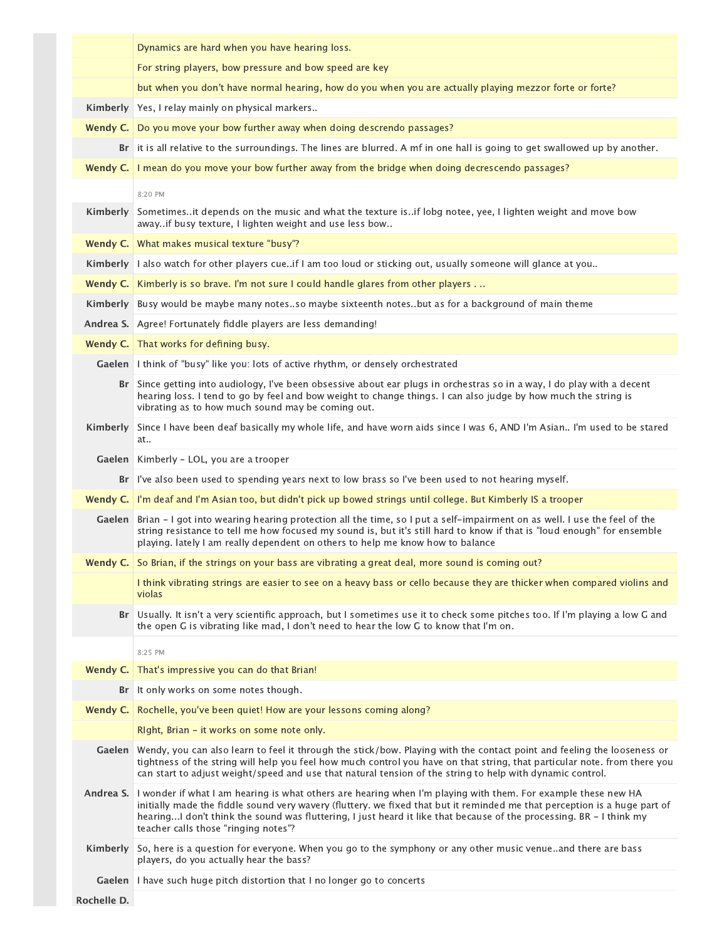|                 | Dynamics are hard when you have hearing loss.                                                                                                                                                                                                                                                                                                                                                                         |
|-----------------|-----------------------------------------------------------------------------------------------------------------------------------------------------------------------------------------------------------------------------------------------------------------------------------------------------------------------------------------------------------------------------------------------------------------------|
|                 | For string players, bow pressure and bow speed are key                                                                                                                                                                                                                                                                                                                                                                |
|                 | but when you don't have normal hearing, how do you when you are actually playing mezzor forte or forte?                                                                                                                                                                                                                                                                                                               |
|                 | Kimberly Yes, I relay mainly on physical markers                                                                                                                                                                                                                                                                                                                                                                      |
|                 | Wendy C.   Do you move your bow further away when doing descrendo passages?                                                                                                                                                                                                                                                                                                                                           |
|                 | Br it is all relative to the surroundings. The lines are blurred. A mf in one hall is going to get swallowed up by another.                                                                                                                                                                                                                                                                                           |
| Wendy C.        | I mean do you move your bow further away from the bridge when doing decrescendo passages?                                                                                                                                                                                                                                                                                                                             |
|                 | 8:20 PM                                                                                                                                                                                                                                                                                                                                                                                                               |
| <b>Kimberly</b> | Sometimes. It depends on the music and what the texture is. if lobg notee, yee, I lighten weight and move bow<br>awayif busy texture, I lighten weight and use less bow                                                                                                                                                                                                                                               |
|                 | Wendy C.   What makes musical texture "busy"?                                                                                                                                                                                                                                                                                                                                                                         |
|                 | Kimberly   lalso watch for other players cueif I am too loud or sticking out, usually someone will glance at you                                                                                                                                                                                                                                                                                                      |
| Wendy C.        | Kimberly is so brave. I'm not sure I could handle glares from other players.                                                                                                                                                                                                                                                                                                                                          |
| <b>Kimberly</b> | Busy would be maybe many notesso maybe sixteenth notesbut as for a background of main theme                                                                                                                                                                                                                                                                                                                           |
| Andrea S.       | Agree! Fortunately fiddle players are less demanding!                                                                                                                                                                                                                                                                                                                                                                 |
|                 | Wendy C. That works for defining busy.                                                                                                                                                                                                                                                                                                                                                                                |
|                 | Gaelen   I think of "busy" like you: lots of active rhythm, or densely orchestrated                                                                                                                                                                                                                                                                                                                                   |
|                 | Br Since getting into audiology, I've been obsessive about ear plugs in orchestras so in a way, I do play with a decent<br>hearing loss. I tend to go by feel and bow weight to change things. I can also judge by how much the string is<br>vibrating as to how much sound may be coming out.                                                                                                                        |
|                 | Kimberly   Since I have been deaf basically my whole life, and have worn aids since I was 6, AND I'm Asian I'm used to be stared<br>at                                                                                                                                                                                                                                                                                |
| Gaelen          | Kimberly - LOL, you are a trooper                                                                                                                                                                                                                                                                                                                                                                                     |
|                 | Br   I've also been used to spending years next to low brass so I've been used to not hearing myself.                                                                                                                                                                                                                                                                                                                 |
|                 | Wendy C.   I'm deaf and I'm Asian too, but didn't pick up bowed strings until college. But Kimberly IS a trooper                                                                                                                                                                                                                                                                                                      |
| Gaelen          | Brian - I got into wearing hearing protection all the time, so I put a self-impairment on as well. I use the feel of the<br>string resistance to tell me how focused my sound is, but it's still hard to know if that is "loud enough" for ensemble<br>playing. lately I am really dependent on others to help me know how to balance                                                                                 |
|                 | Wendy C. So Brian, if the strings on your bass are vibrating a great deal, more sound is coming out?                                                                                                                                                                                                                                                                                                                  |
|                 | I think vibrating strings are easier to see on a heavy bass or cello because they are thicker when compared violins and<br>violas                                                                                                                                                                                                                                                                                     |
|                 | Br   Usually. It isn't a very scientific approach, but I sometimes use it to check some pitches too. If I'm playing a low G and<br>the open G is vibrating like mad, I don't need to hear the low G to know that I'm on.                                                                                                                                                                                              |
|                 | 8:25 PM                                                                                                                                                                                                                                                                                                                                                                                                               |
|                 | Wendy C.   That's impressive you can do that Brian!                                                                                                                                                                                                                                                                                                                                                                   |
|                 | Br It only works on some notes though.                                                                                                                                                                                                                                                                                                                                                                                |
| Wendy C.        | Rochelle, you've been quiet! How are your lessons coming along?                                                                                                                                                                                                                                                                                                                                                       |
|                 | Right, Brian - it works on some note only.                                                                                                                                                                                                                                                                                                                                                                            |
|                 | Gaelen   Wendy, you can also learn to feel it through the stick/bow. Playing with the contact point and feeling the looseness or<br>tightness of the string will help you feel how much control you have on that string, that particular note. from there you<br>can start to adjust weight/speed and use that natural tension of the string to help with dynamic control.                                            |
|                 | Andrea S.   I wonder if what I am hearing is what others are hearing when I'm playing with them. For example these new HA<br>initially made the fiddle sound very wavery (fluttery, we fixed that but it reminded me that perception is a huge part of<br>hearingI don't think the sound was fluttering, I just heard it like that because of the processing. BR - I think my<br>teacher calls those "ringing notes"? |
| Kimberly        | So, here is a question for everyone. When you go to the symphony or any other music venueand there are bass<br>players, do you actually hear the bass?                                                                                                                                                                                                                                                                |
| Gaelen          | I have such huge pitch distortion that I no longer go to concerts                                                                                                                                                                                                                                                                                                                                                     |
| Rochelle D.     |                                                                                                                                                                                                                                                                                                                                                                                                                       |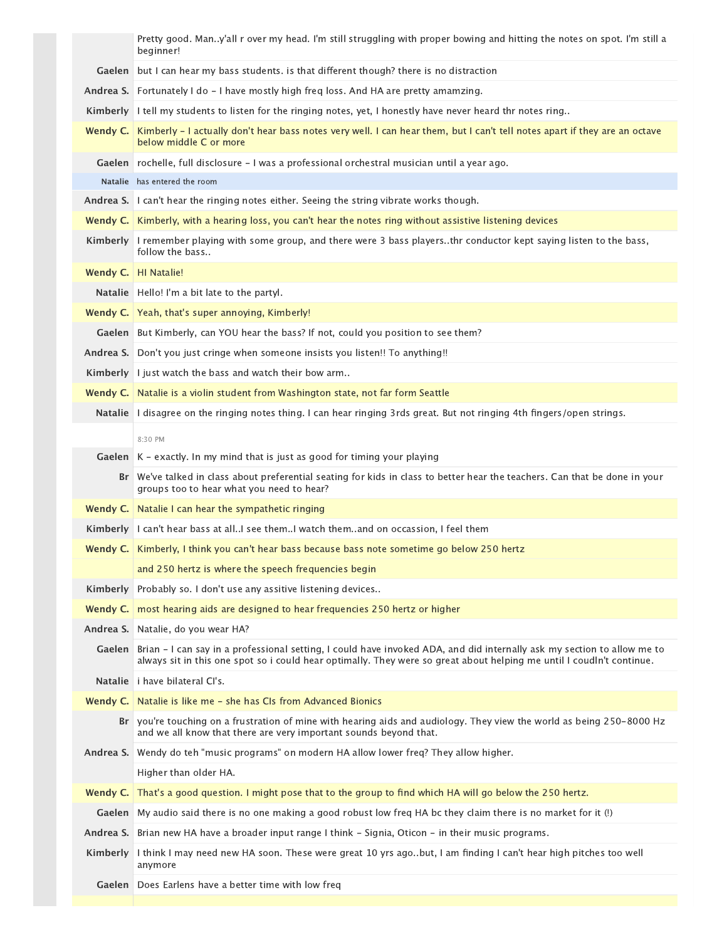Pretty good. Man..y'all r over my head. I'm still struggling with proper bowing and hitting the notes on spot. I'm still a beginner! Gaelen but I can hear my bass students. is that different though? there is no distraction Andrea S. Fortunately I do - I have mostly high freq loss. And HA are pretty amamzing. Kimberly | I tell my students to listen for the ringing notes, yet, I honestly have never heard thr notes ring.. **Wendy C.** | Kimberly – I actually don't hear bass notes very well. I can hear them, but I can't tell notes apart if they are an octave below middle C or more Gaelen rochelle, full disclosure – I was a professional orchestral musician until a year ago. Natalie has entered the room Andrea S. I can't hear the ringing notes either. Seeing the string vibrate works though. **Wendy C.** Kimberly, with a hearing loss, you can't hear the notes ring without assistive listening devices Kimberly | I remember playing with some group, and there were 3 bass players..thr conductor kept saying listen to the bass, follow the bass.. Wendy C. | HI Natalie! Natalie | Hello! I'm a bit late to the partyl. **Wendy C.** | Yeah, that's super annoying, Kimberly! Gaelen | But Kimberly, can YOU hear the bass? If not, could you position to see them? Andrea S. Don't you just cringe when someone insists you listen!! To anything!! Kimberly | I just watch the bass and watch their bow arm.. **Wendy C.** | Natalie is a violin student from Washington state, not far form Seattle Natalie | I disagree on the ringing notes thing. I can hear ringing 3rds great. But not ringing 4th fingers/open strings. **Gaelen** | K - exactly. In my mind that is just as good for timing your playing We've talked in class about preferential seating for kids in class to better hear the teachers. Can that be done in your **Br** groups too to hear what you need to hear? **Wendy C.** Natalie I can hear the sympathetic ringing Kimberly I can't hear bass at all..I see them..I watch them..and on occassion, I feel them **Wendy C.** Kimberly, I think you can't hear bass because bass note sometime go below 250 hertz and 250 hertz is where the speech frequencies begin Kimberly Probably so. I don't use any assitive listening devices.. **Wendy C.** | most hearing aids are designed to hear frequencies 250 hertz or higher **Andrea S.** Natalie, do you wear HA? Brian ‑ I can say in a professional setting, I could have invoked ADA, and did internally ask my section to allow me to **Gaelen** always sit in this one spot so i could hear optimally. They were so great about helping me until I coudln't continue. **Natalie** i have bilateral CI's. **Wendy C.** Natalie is like me - she has CIs from Advanced Bionics Br you're touching on a frustration of mine with hearing aids and audiology. They view the world as being 250–8000 Hz and we all know that there are very important sounds beyond that. Andrea S. Wendy do teh "music programs" on modern HA allow lower freq? They allow higher. Higher than older HA. Wendy C. That's a good question. I might pose that to the group to find which HA will go below the 250 hertz. **Gaelen** | My audio said there is no one making a good robust low freq HA bc they claim there is no market for it (!) A**ndrea S.** Brian new HA have a broader input range I think - Signia, Oticon - in their music programs. Kimberly Ithink I may need new HA soon. These were great 10 yrs ago..but, I am finding I can't hear high pitches too well anymore Gaelen | Does Earlens have a better time with low freq 8:30 PM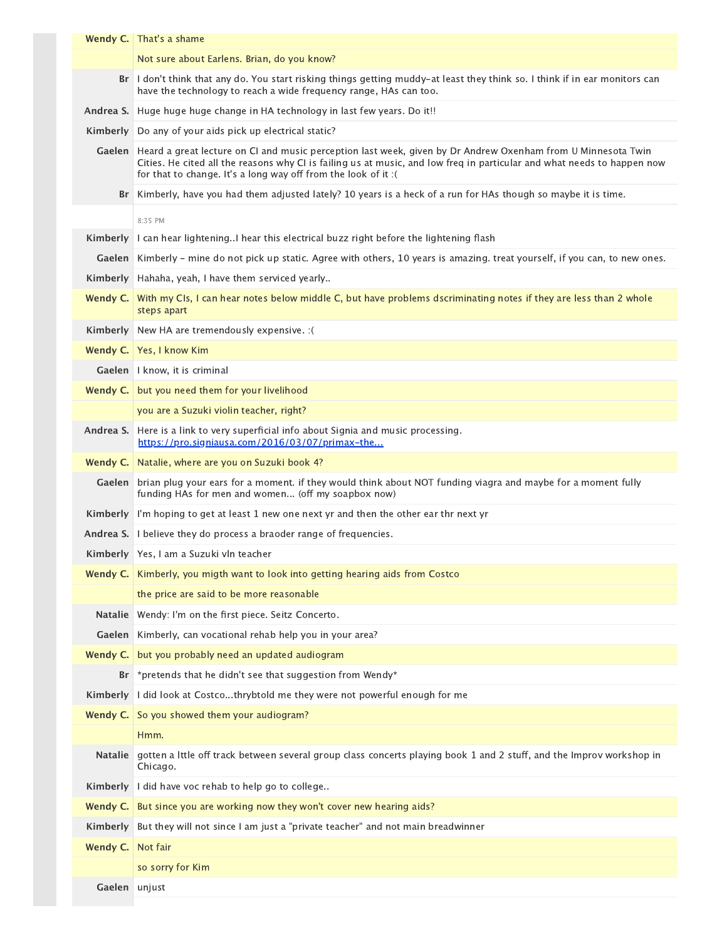|                | Wendy C. That's a shame                                                                                                                                                                                                                                                                                          |
|----------------|------------------------------------------------------------------------------------------------------------------------------------------------------------------------------------------------------------------------------------------------------------------------------------------------------------------|
|                | Not sure about Earlens. Brian, do you know?                                                                                                                                                                                                                                                                      |
|                | Br I don't think that any do. You start risking things getting muddy-at least they think so. I think if in ear monitors can<br>have the technology to reach a wide frequency range, HAs can too.                                                                                                                 |
| Andrea S.      | Huge huge huge change in HA technology in last few years. Do it!!                                                                                                                                                                                                                                                |
| Kimberly       | Do any of your aids pick up electrical static?                                                                                                                                                                                                                                                                   |
|                | Gaelen Heard a great lecture on CI and music perception last week, given by Dr Andrew Oxenham from U Minnesota Twin<br>Cities. He cited all the reasons why CI is failing us at music, and low freq in particular and what needs to happen now<br>for that to change. It's a long way off from the look of it :( |
|                | Br Kimberly, have you had them adjusted lately? 10 years is a heck of a run for HAs though so maybe it is time.                                                                                                                                                                                                  |
|                | 8:35 PM                                                                                                                                                                                                                                                                                                          |
| Kimberly       | I can hear lighteningI hear this electrical buzz right before the lightening flash                                                                                                                                                                                                                               |
| Gaelen         | Kimberly - mine do not pick up static. Agree with others, 10 years is amazing. treat yourself, if you can, to new ones.                                                                                                                                                                                          |
| Kimberly       | Hahaha, yeah, I have them serviced yearly                                                                                                                                                                                                                                                                        |
| Wendy C.       | With my CIs, I can hear notes below middle C, but have problems dscriminating notes if they are less than 2 whole<br>steps apart                                                                                                                                                                                 |
|                | Kimberly   New HA are tremendously expensive. : (                                                                                                                                                                                                                                                                |
|                | Wendy C.   Yes, I know Kim                                                                                                                                                                                                                                                                                       |
|                | Gaelen   I know, it is criminal                                                                                                                                                                                                                                                                                  |
|                | Wendy C.   but you need them for your livelihood                                                                                                                                                                                                                                                                 |
|                | you are a Suzuki violin teacher, right?                                                                                                                                                                                                                                                                          |
| Andrea S.      | Here is a link to very superficial info about Signia and music processing.<br>https://pro.signiausa.com/2016/03/07/primax-the                                                                                                                                                                                    |
| Wendy C.       | Natalie, where are you on Suzuki book 4?                                                                                                                                                                                                                                                                         |
|                | Gaelen   brian plug your ears for a moment. if they would think about NOT funding viagra and maybe for a moment fully<br>funding HAs for men and women (off my soapbox now)                                                                                                                                      |
| Kimberly       | I'm hoping to get at least 1 new one next yr and then the other ear thr next yr                                                                                                                                                                                                                                  |
| Andrea S.      | I believe they do process a braoder range of frequencies.                                                                                                                                                                                                                                                        |
|                | Kimberly   Yes, I am a Suzuki vln teacher                                                                                                                                                                                                                                                                        |
| Wendy C.       | Kimberly, you migth want to look into getting hearing aids from Costco                                                                                                                                                                                                                                           |
|                | the price are said to be more reasonable                                                                                                                                                                                                                                                                         |
| <b>Natalie</b> | Wendy: I'm on the first piece. Seitz Concerto.                                                                                                                                                                                                                                                                   |
| Gaelen         | Kimberly, can vocational rehab help you in your area?                                                                                                                                                                                                                                                            |
| Wendy C.       | but you probably need an updated audiogram                                                                                                                                                                                                                                                                       |
| Br             | *pretends that he didn't see that suggestion from Wendy*                                                                                                                                                                                                                                                         |
| Kimberly       | I did look at Costcothrybtold me they were not powerful enough for me                                                                                                                                                                                                                                            |
| Wendy C.       | So you showed them your audiogram?                                                                                                                                                                                                                                                                               |
|                | Hmm.                                                                                                                                                                                                                                                                                                             |
| <b>Natalie</b> | gotten a lttle off track between several group class concerts playing book 1 and 2 stuff, and the Improv workshop in<br>Chicago.                                                                                                                                                                                 |
| Kimberly       | I did have voc rehab to help go to college                                                                                                                                                                                                                                                                       |
| Wendy C.       | But since you are working now they won't cover new hearing aids?                                                                                                                                                                                                                                                 |
| Kimberly       | But they will not since I am just a "private teacher" and not main breadwinner                                                                                                                                                                                                                                   |
| Wendy C.       | Not fair                                                                                                                                                                                                                                                                                                         |
|                | so sorry for Kim                                                                                                                                                                                                                                                                                                 |
| Gaelen         | unjust                                                                                                                                                                                                                                                                                                           |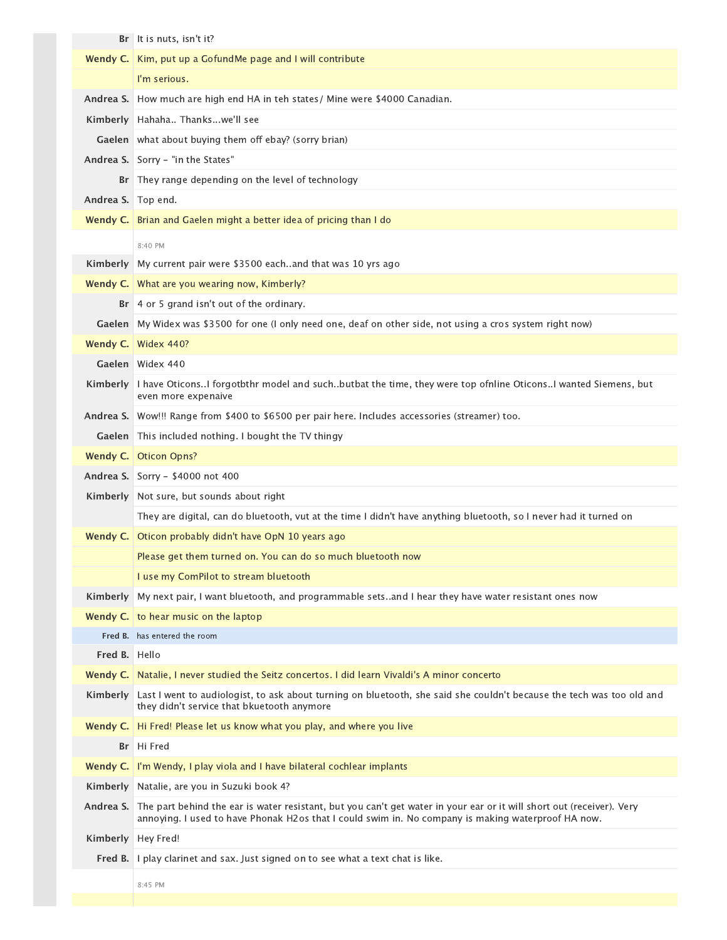|                    | Br It is nuts, isn't it?                                                                                                                                                                                                    |
|--------------------|-----------------------------------------------------------------------------------------------------------------------------------------------------------------------------------------------------------------------------|
| Wendy $C.$         | Kim, put up a GofundMe page and I will contribute                                                                                                                                                                           |
|                    | I'm serious.                                                                                                                                                                                                                |
| Andrea S.          | How much are high end HA in teh states/ Mine were \$4000 Canadian.                                                                                                                                                          |
|                    | Kimberly Hahaha Thankswe'll see                                                                                                                                                                                             |
|                    | Gaelen   what about buying them off ebay? (sorry brian)                                                                                                                                                                     |
|                    | Andrea S. Sorry - "in the States"                                                                                                                                                                                           |
|                    | Br They range depending on the level of technology                                                                                                                                                                          |
| Andrea S. Top end. |                                                                                                                                                                                                                             |
| Wendy C.           | Brian and Gaelen might a better idea of pricing than I do                                                                                                                                                                   |
|                    | 8:40 PM                                                                                                                                                                                                                     |
| Kimberly           | My current pair were \$3500 eachand that was 10 yrs ago                                                                                                                                                                     |
|                    | Wendy C.   What are you wearing now, Kimberly?                                                                                                                                                                              |
|                    | Br   4 or 5 grand isn't out of the ordinary.                                                                                                                                                                                |
|                    | Gaelen My Widex was \$3500 for one (I only need one, deaf on other side, not using a cros system right now)                                                                                                                 |
| Wendy C.           | <b>Widex 440?</b>                                                                                                                                                                                                           |
|                    | Gaelen Widex 440                                                                                                                                                                                                            |
| Kimberly           | I have OticonsI forgotbthr model and suchbutbat the time, they were top ofnline OticonsI wanted Siemens, but<br>even more expenaive                                                                                         |
|                    | Andrea S. Wow!!! Range from \$400 to \$6500 per pair here. Includes accessories (streamer) too.                                                                                                                             |
|                    | Gaelen   This included nothing. I bought the TV thingy                                                                                                                                                                      |
| Wendy C.           | <b>Oticon Opns?</b>                                                                                                                                                                                                         |
|                    | Andrea S.   Sorry - \$4000 not 400                                                                                                                                                                                          |
|                    | Kimberly   Not sure, but sounds about right                                                                                                                                                                                 |
|                    | They are digital, can do bluetooth, vut at the time I didn't have anything bluetooth, so I never had it turned on                                                                                                           |
| Wendy C.           | Oticon probably didn't have OpN 10 years ago                                                                                                                                                                                |
|                    | Please get them turned on. You can do so much bluetooth now                                                                                                                                                                 |
|                    | I use my ComPilot to stream bluetooth                                                                                                                                                                                       |
| Kimberly           | My next pair, I want bluetooth, and programmable setsand I hear they have water resistant ones now                                                                                                                          |
|                    | <b>Wendy C.</b> to hear music on the laptop                                                                                                                                                                                 |
|                    | Fred B. has entered the room                                                                                                                                                                                                |
| Fred B. Hello      |                                                                                                                                                                                                                             |
| Wendy C.           | Natalie, I never studied the Seitz concertos. I did learn Vivaldi's A minor concerto                                                                                                                                        |
| Kimberly           | Last I went to audiologist, to ask about turning on bluetooth, she said she couldn't because the tech was too old and<br>they didn't service that bkuetooth anymore                                                         |
| Wendy C.           | Hi Fred! Please let us know what you play, and where you live                                                                                                                                                               |
|                    | Br Hi Fred                                                                                                                                                                                                                  |
| Wendy C.           | I'm Wendy, I play viola and I have bilateral cochlear implants                                                                                                                                                              |
| Kimberly           | Natalie, are you in Suzuki book 4?                                                                                                                                                                                          |
| Andrea S.          | The part behind the ear is water resistant, but you can't get water in your ear or it will short out (receiver). Very<br>annoying. I used to have Phonak H2os that I could swim in. No company is making waterproof HA now. |
| Kimberly           | Hey Fred!                                                                                                                                                                                                                   |
| Fred B.            | I play clarinet and sax. Just signed on to see what a text chat is like.                                                                                                                                                    |
|                    | 8:45 PM                                                                                                                                                                                                                     |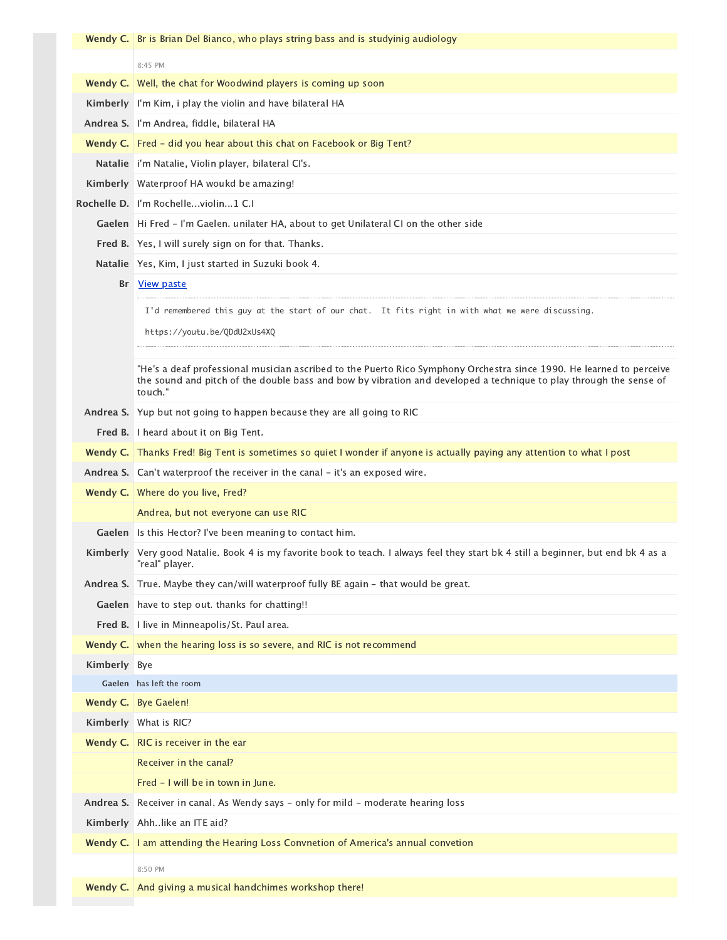|           | <b>Wendy C.</b> Br is Brian Del Bianco, who plays string bass and is studyinig audiology                                                                                                                                                              |
|-----------|-------------------------------------------------------------------------------------------------------------------------------------------------------------------------------------------------------------------------------------------------------|
|           | 8:45 PM                                                                                                                                                                                                                                               |
|           | <b>Wendy C.</b> Well, the chat for Woodwind players is coming up soon                                                                                                                                                                                 |
|           | Kimberly   I'm Kim, i play the violin and have bilateral HA                                                                                                                                                                                           |
|           | Andrea S. I'm Andrea, fiddle, bilateral HA                                                                                                                                                                                                            |
|           | Wendy C.   Fred - did you hear about this chat on Facebook or Big Tent?                                                                                                                                                                               |
|           | Natalie   i'm Natalie, Violin player, bilateral CI's.                                                                                                                                                                                                 |
|           | Kimberly   Waterproof HA woukd be amazing!                                                                                                                                                                                                            |
|           | Rochelle D. I'm Rochelleviolin1 C.I                                                                                                                                                                                                                   |
|           | Gaelen   Hi Fred - I'm Gaelen. unilater HA, about to get Unilateral CI on the other side                                                                                                                                                              |
|           | Fred B. Yes, I will surely sign on for that. Thanks.                                                                                                                                                                                                  |
|           | Natalie   Yes, Kim, I just started in Suzuki book 4.                                                                                                                                                                                                  |
| Br        | View paste                                                                                                                                                                                                                                            |
|           | I'd remembered this guy at the start of our chat. It fits right in with what we were discussing.                                                                                                                                                      |
|           | https://youtu.be/QDdU2xUs4XQ                                                                                                                                                                                                                          |
|           |                                                                                                                                                                                                                                                       |
|           | "He's a deaf professional musician ascribed to the Puerto Rico Symphony Orchestra since 1990. He learned to perceive<br>the sound and pitch of the double bass and bow by vibration and developed a technique to play through the sense of<br>touch." |
|           | <b>Andrea S.</b> Yup but not going to happen because they are all going to RIC                                                                                                                                                                        |
|           | Fred B. I heard about it on Big Tent.                                                                                                                                                                                                                 |
|           | Wendy C. Thanks Fred! Big Tent is sometimes so quiet I wonder if anyone is actually paying any attention to what I post                                                                                                                               |
|           | Andrea S. Can't waterproof the receiver in the canal - it's an exposed wire.                                                                                                                                                                          |
|           | Wendy C. Where do you live, Fred?                                                                                                                                                                                                                     |
|           | Andrea, but not everyone can use RIC                                                                                                                                                                                                                  |
| Gaelen    | Is this Hector? I've been meaning to contact him.                                                                                                                                                                                                     |
|           | Kimberly Very good Natalie. Book 4 is my favorite book to teach. I always feel they start bk 4 still a beginner, but end bk 4 as a<br>"real" player.                                                                                                  |
| Andrea S. | True. Maybe they can/will waterproof fully BE again - that would be great.                                                                                                                                                                            |
| Gaelen    | have to step out. thanks for chatting!!                                                                                                                                                                                                               |
| Fred B.   | I live in Minneapolis/St. Paul area.                                                                                                                                                                                                                  |
| Wendy C.  | when the hearing loss is so severe, and RIC is not recommend                                                                                                                                                                                          |
| Kimberly  | Bye                                                                                                                                                                                                                                                   |
|           | Gaelen has left the room                                                                                                                                                                                                                              |
|           | <b>Wendy C.</b> Bye Gaelen!                                                                                                                                                                                                                           |
| Kimberly  | What is RIC?                                                                                                                                                                                                                                          |
| Wendy C.  | RIC is receiver in the ear                                                                                                                                                                                                                            |
|           | Receiver in the canal?                                                                                                                                                                                                                                |
|           | Fred - I will be in town in June.                                                                                                                                                                                                                     |
| Andrea S. | Receiver in canal. As Wendy says - only for mild - moderate hearing loss                                                                                                                                                                              |
| Kimberly  | Ahhlike an ITE aid?                                                                                                                                                                                                                                   |
|           | Wendy C.   I am attending the Hearing Loss Convnetion of America's annual convetion                                                                                                                                                                   |
|           | 8:50 PM                                                                                                                                                                                                                                               |
| Wendy C.  | And giving a musical handchimes workshop there!                                                                                                                                                                                                       |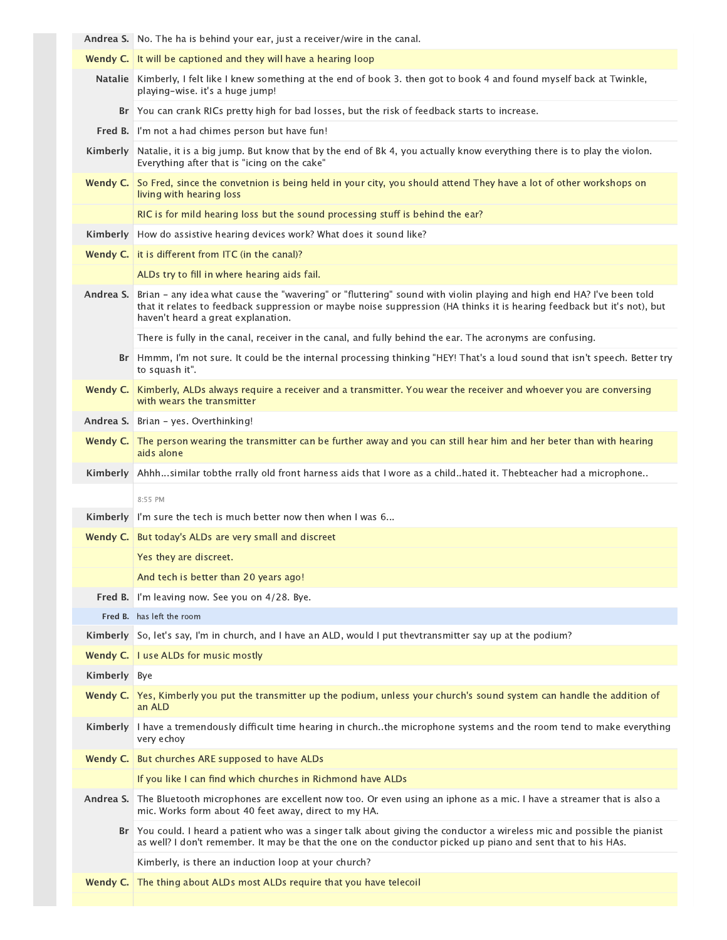|           | Andrea S.   No. The ha is behind your ear, just a receiver/wire in the canal.                                                                                                                                                                                                         |
|-----------|---------------------------------------------------------------------------------------------------------------------------------------------------------------------------------------------------------------------------------------------------------------------------------------|
|           | Wendy C. It will be captioned and they will have a hearing loop                                                                                                                                                                                                                       |
|           | Natalie Kimberly, I felt like I knew something at the end of book 3. then got to book 4 and found myself back at Twinkle,<br>playing-wise. it's a huge jump!                                                                                                                          |
| Br        | You can crank RICs pretty high for bad losses, but the risk of feedback starts to increase.                                                                                                                                                                                           |
| Fred B.   | I'm not a had chimes person but have fun!                                                                                                                                                                                                                                             |
| Kimberly  | Natalie, it is a big jump. But know that by the end of Bk 4, you actually know everything there is to play the violon.<br>Everything after that is "icing on the cake"                                                                                                                |
| Wendy C.  | So Fred, since the convetnion is being held in your city, you should attend They have a lot of other workshops on<br>living with hearing loss                                                                                                                                         |
|           | RIC is for mild hearing loss but the sound processing stuff is behind the ear?                                                                                                                                                                                                        |
| Kimberly  | How do assistive hearing devices work? What does it sound like?                                                                                                                                                                                                                       |
| Wendy C.  | it is different from ITC (in the canal)?                                                                                                                                                                                                                                              |
|           | ALDs try to fill in where hearing aids fail.                                                                                                                                                                                                                                          |
| Andrea S. | Brian - any idea what cause the "wavering" or "fluttering" sound with violin playing and high end HA? I've been told<br>that it relates to feedback suppression or maybe noise suppression (HA thinks it is hearing feedback but it's not), but<br>haven't heard a great explanation. |
|           | There is fully in the canal, receiver in the canal, and fully behind the ear. The acronyms are confusing.                                                                                                                                                                             |
| Br        | Hmmm, I'm not sure. It could be the internal processing thinking "HEY! That's a loud sound that isn't speech. Better try<br>to squash it".                                                                                                                                            |
| Wendy C.  | Kimberly, ALDs always require a receiver and a transmitter. You wear the receiver and whoever you are conversing<br>with wears the transmitter                                                                                                                                        |
|           | Andrea S. Brian - yes. Overthinking!                                                                                                                                                                                                                                                  |
| Wendy C.  | The person wearing the transmitter can be further away and you can still hear him and her beter than with hearing<br>aids alone                                                                                                                                                       |
|           |                                                                                                                                                                                                                                                                                       |
| Kimberly  | Ahhhsimilar tobthe rrally old front harness aids that I wore as a childhated it. Thebteacher had a microphone                                                                                                                                                                         |
|           | 8:55 PM                                                                                                                                                                                                                                                                               |
| Kimberly  | I'm sure the tech is much better now then when I was 6                                                                                                                                                                                                                                |
| Wendy C.  | But today's ALDs are very small and discreet                                                                                                                                                                                                                                          |
|           | Yes they are discreet.                                                                                                                                                                                                                                                                |
|           | And tech is better than 20 years ago!                                                                                                                                                                                                                                                 |
| Fred B.   | I'm leaving now. See you on 4/28. Bye.                                                                                                                                                                                                                                                |
|           | Fred B. has left the room                                                                                                                                                                                                                                                             |
| Kimberly  | So, let's say, I'm in church, and I have an ALD, would I put thevtransmitter say up at the podium?                                                                                                                                                                                    |
| Wendy C.  | I use ALDs for music mostly                                                                                                                                                                                                                                                           |
| Kimberly  | Bye                                                                                                                                                                                                                                                                                   |
| Wendy C.  | Yes, Kimberly you put the transmitter up the podium, unless your church's sound system can handle the addition of<br>an ALD                                                                                                                                                           |
| Kimberly  | I have a tremendously difficult time hearing in churchthe microphone systems and the room tend to make everything<br>very echoy                                                                                                                                                       |
| Wendy C.  | But churches ARE supposed to have ALDs                                                                                                                                                                                                                                                |
|           | If you like I can find which churches in Richmond have ALDs                                                                                                                                                                                                                           |
| Andrea S. | The Bluetooth microphones are excellent now too. Or even using an iphone as a mic. I have a streamer that is also a<br>mic. Works form about 40 feet away, direct to my HA.                                                                                                           |
| Br        | You could. I heard a patient who was a singer talk about giving the conductor a wireless mic and possible the pianist<br>as well? I don't remember. It may be that the one on the conductor picked up piano and sent that to his HAs.                                                 |
|           | Kimberly, is there an induction loop at your church?                                                                                                                                                                                                                                  |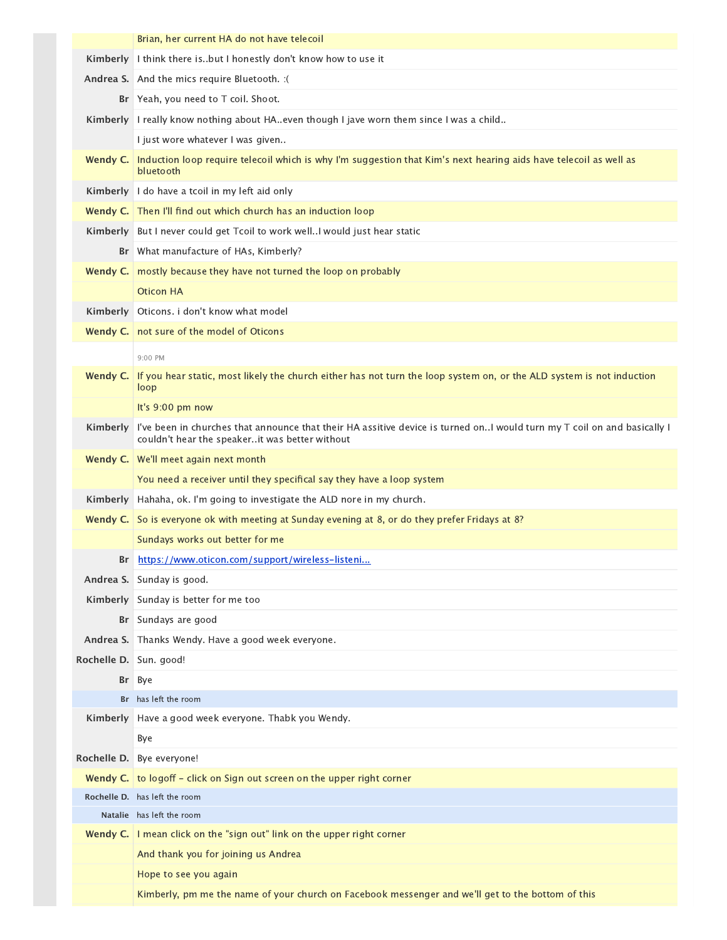|             | Brian, her current HA do not have telecoil                                                                                                                                |
|-------------|---------------------------------------------------------------------------------------------------------------------------------------------------------------------------|
| Kimberly    | I think there isbut I honestly don't know how to use it                                                                                                                   |
|             | Andrea S. And the mics require Bluetooth. : (                                                                                                                             |
|             | Br   Yeah, you need to T coil. Shoot.                                                                                                                                     |
| Kimberly    | I really know nothing about HA. even though I jave worn them since I was a child                                                                                          |
|             | I just wore whatever I was given                                                                                                                                          |
| Wendy C.    | Induction loop require telecoil which is why I'm suggestion that Kim's next hearing aids have telecoil as well as<br>bluetooth                                            |
| Kimberly    | I do have a tcoil in my left aid only                                                                                                                                     |
| Wendy C.    | Then I'll find out which church has an induction loop                                                                                                                     |
| Kimberly    | But I never could get Tcoil to work well. I would just hear static                                                                                                        |
| Br          | What manufacture of HAs, Kimberly?                                                                                                                                        |
| Wendy C.    | mostly because they have not turned the loop on probably                                                                                                                  |
|             | <b>Oticon HA</b>                                                                                                                                                          |
| Kimberly    | Oticons. i don't know what model                                                                                                                                          |
| Wendy C.    | not sure of the model of Oticons                                                                                                                                          |
|             | 9:00 PM                                                                                                                                                                   |
| Wendy C.    | If you hear static, most likely the church either has not turn the loop system on, or the ALD system is not induction                                                     |
|             | loop                                                                                                                                                                      |
|             | It's 9:00 pm now                                                                                                                                                          |
| Kimberly    | I've been in churches that announce that their HA assitive device is turned onI would turn my T coil on and basically I<br>couldn't hear the speakerit was better without |
|             | Wendy C.   We'll meet again next month                                                                                                                                    |
|             | You need a receiver until they specifical say they have a loop system                                                                                                     |
| Kimberly    | Hahaha, ok. I'm going to investigate the ALD nore in my church.                                                                                                           |
| Wendy C.    | So is everyone ok with meeting at Sunday evening at 8, or do they prefer Fridays at 8?                                                                                    |
|             | Sundays works out better for me                                                                                                                                           |
| Br          | https://www.oticon.com/support/wireless-listeni                                                                                                                           |
|             | Andrea S. Sunday is good.                                                                                                                                                 |
| Kimberly    | Sunday is better for me too                                                                                                                                               |
|             | Br Sundays are good                                                                                                                                                       |
| Andrea S.   | Thanks Wendy. Have a good week everyone.                                                                                                                                  |
| Rochelle D. | Sun. good!                                                                                                                                                                |
| Br          | Bye                                                                                                                                                                       |
|             | Br has left the room                                                                                                                                                      |
| Kimberly    | Have a good week everyone. Thabk you Wendy.                                                                                                                               |
|             | Bye                                                                                                                                                                       |
| Rochelle D. | Bye everyone!                                                                                                                                                             |
|             | Wendy C. $\vert$ to logoff - click on Sign out screen on the upper right corner                                                                                           |
|             | Rochelle D. has left the room                                                                                                                                             |
|             | Natalie has left the room                                                                                                                                                 |
|             | Wendy C.   I mean click on the "sign out" link on the upper right corner                                                                                                  |
|             | And thank you for joining us Andrea                                                                                                                                       |
|             | Hope to see you again                                                                                                                                                     |
|             | Kimberly, pm me the name of your church on Facebook messenger and we'll get to the bottom of this                                                                         |